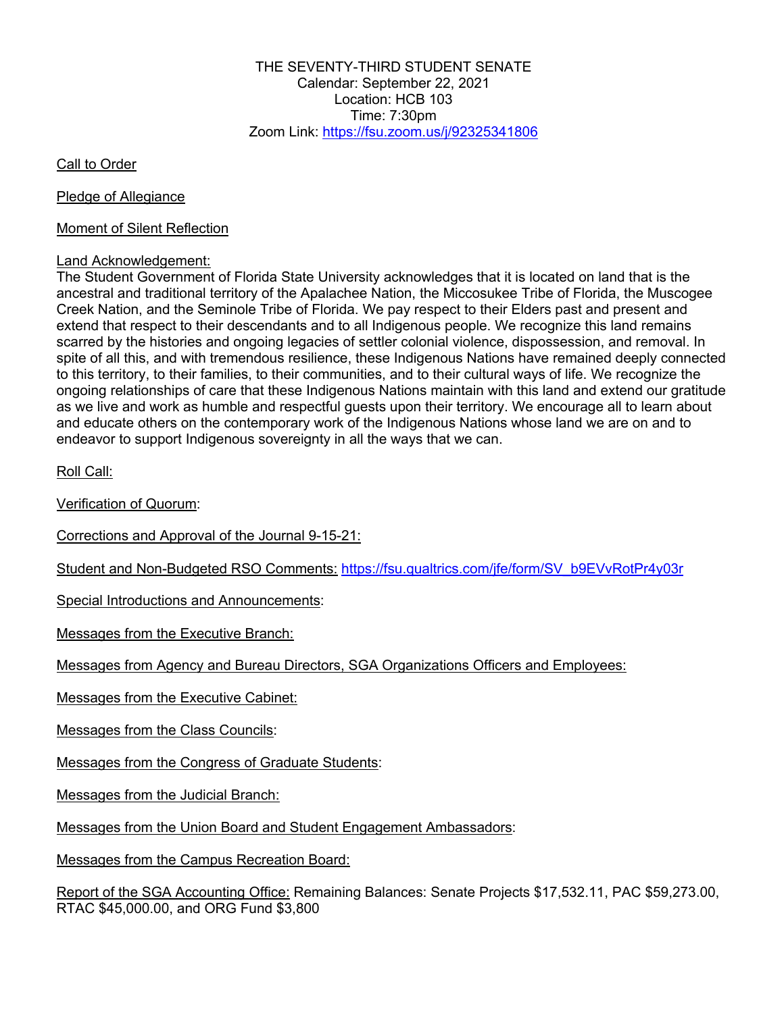THE SEVENTY-THIRD STUDENT SENATE Calendar: September 22, 2021 Location: HCB 103 Time:  $7:30$ pm Zoom Link: https://fsu.zoom.us/j/92325341806

Call to Order

Pledge of Allegiance

Moment of Silent Reflection

## Land Acknowledgement:

The Student Government of Florida State University acknowledges that it is located on land that is the ancestral and traditional territory of the Apalachee Nation, the Miccosukee Tribe of Florida, the Muscogee Creek Nation, and the Seminole Tribe of Florida. We pay respect to their Elders past and present and extend that respect to their descendants and to all Indigenous people. We recognize this land remains scarred by the histories and ongoing legacies of settler colonial violence, dispossession, and removal. In spite of all this, and with tremendous resilience, these Indigenous Nations have remained deeply connected to this territory, to their families, to their communities, and to their cultural ways of life. We recognize the ongoing relationships of care that these Indigenous Nations maintain with this land and extend our gratitude as we live and work as humble and respectful guests upon their territory. We encourage all to learn about and educate others on the contemporary work of the Indigenous Nations whose land we are on and to endeavor to support Indigenous sovereignty in all the ways that we can.

Roll Call:

Verification of Quorum:

Corrections and Approval of the Journal 9-15-21:

Student and Non-Budgeted RSO Comments: https://fsu.qualtrics.com/jfe/form/SV\_b9EVvRotPr4y03r

Special Introductions and Announcements:

Messages from the Executive Branch:

Messages from Agency and Bureau Directors, SGA Organizations Officers and Employees:

Messages from the Executive Cabinet:

Messages from the Class Councils:

Messages from the Congress of Graduate Students:

Messages from the Judicial Branch:

Messages from the Union Board and Student Engagement Ambassadors:

Messages from the Campus Recreation Board:

Report of the SGA Accounting Office: Remaining Balances: Senate Projects \$17,532.11, PAC \$59,273.00, RTAC \$45,000.00, and ORG Fund \$3,800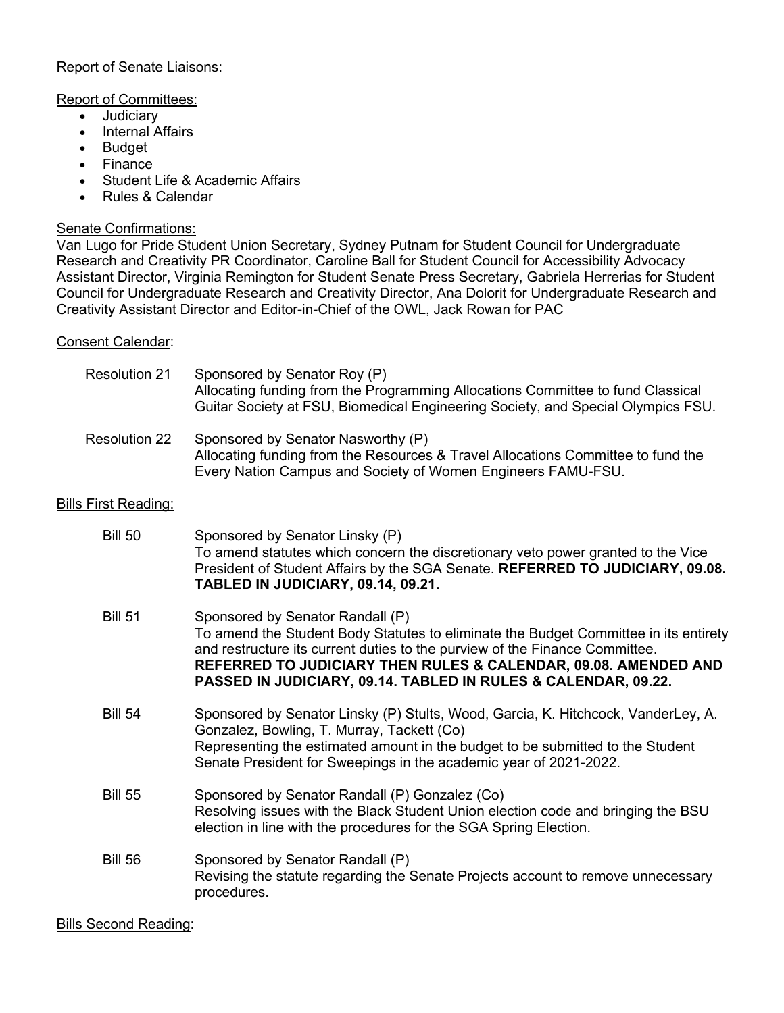## Report of Senate Liaisons:

## Report of Committees:

- Judiciary
- Internal Affairs
- Budget
- Finance
- Student Life & Academic Affairs
- Rules & Calendar

# Senate Confirmations:

Van Lugo for Pride Student Union Secretary, Sydney Putnam for Student Council for Undergraduate Research and Creativity PR Coordinator, Caroline Ball for Student Council for Accessibility Advocacy Assistant Director, Virginia Remington for Student Senate Press Secretary, Gabriela Herrerias for Student Council for Undergraduate Research and Creativity Director, Ana Dolorit for Undergraduate Research and Creativity Assistant Director and Editor-in-Chief of the OWL, Jack Rowan for PAC

## Consent Calendar:

| <b>Resolution 21</b>        | Sponsored by Senator Roy (P)<br>Allocating funding from the Programming Allocations Committee to fund Classical<br>Guitar Society at FSU, Biomedical Engineering Society, and Special Olympics FSU.                                                                                                                                          |
|-----------------------------|----------------------------------------------------------------------------------------------------------------------------------------------------------------------------------------------------------------------------------------------------------------------------------------------------------------------------------------------|
| <b>Resolution 22</b>        | Sponsored by Senator Nasworthy (P)<br>Allocating funding from the Resources & Travel Allocations Committee to fund the<br>Every Nation Campus and Society of Women Engineers FAMU-FSU.                                                                                                                                                       |
| <b>Bills First Reading:</b> |                                                                                                                                                                                                                                                                                                                                              |
| <b>Bill 50</b>              | Sponsored by Senator Linsky (P)<br>To amend statutes which concern the discretionary veto power granted to the Vice<br>President of Student Affairs by the SGA Senate. REFERRED TO JUDICIARY, 09.08.<br>TABLED IN JUDICIARY, 09.14, 09.21.                                                                                                   |
| <b>Bill 51</b>              | Sponsored by Senator Randall (P)<br>To amend the Student Body Statutes to eliminate the Budget Committee in its entirety<br>and restructure its current duties to the purview of the Finance Committee.<br>REFERRED TO JUDICIARY THEN RULES & CALENDAR, 09.08. AMENDED AND<br>PASSED IN JUDICIARY, 09.14. TABLED IN RULES & CALENDAR, 09.22. |
| <b>Bill 54</b>              | Sponsored by Senator Linsky (P) Stults, Wood, Garcia, K. Hitchcock, VanderLey, A.<br>Gonzalez, Bowling, T. Murray, Tackett (Co)<br>Representing the estimated amount in the budget to be submitted to the Student<br>Senate President for Sweepings in the academic year of 2021-2022.                                                       |
| <b>Bill 55</b>              | Sponsored by Senator Randall (P) Gonzalez (Co)<br>Resolving issues with the Black Student Union election code and bringing the BSU<br>election in line with the procedures for the SGA Spring Election.                                                                                                                                      |
| <b>Bill 56</b>              | Sponsored by Senator Randall (P)<br>Revising the statute regarding the Senate Projects account to remove unnecessary<br>procedures.                                                                                                                                                                                                          |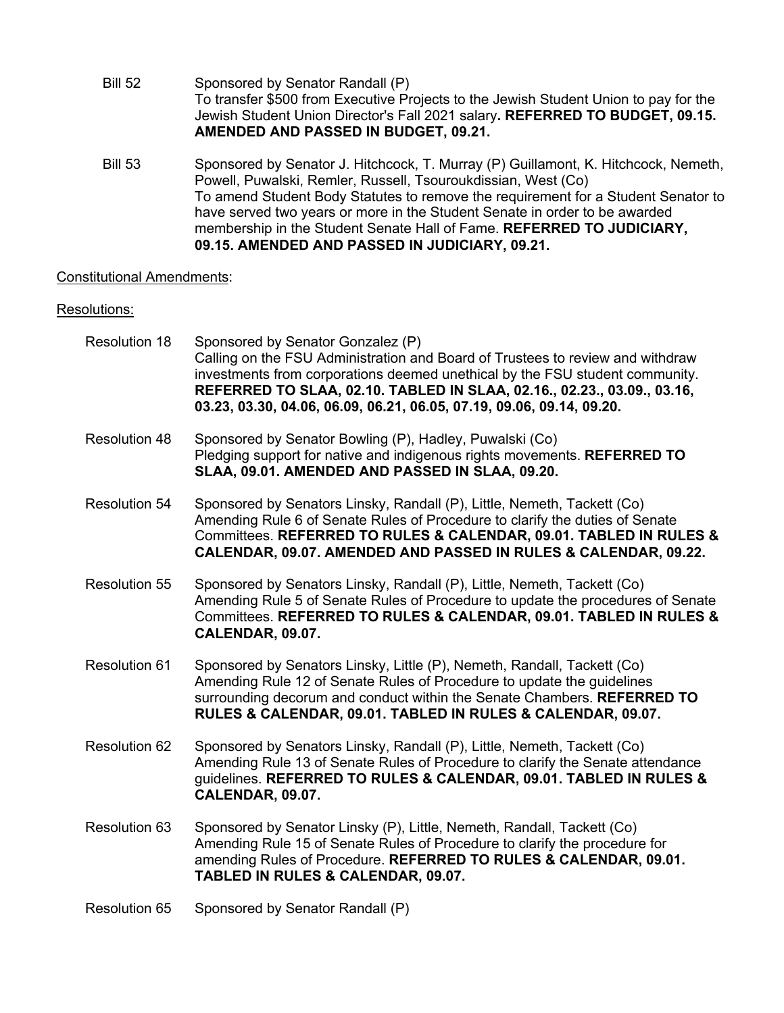- Bill 52 Sponsored by Senator Randall (P) To transfer \$500 from Executive Projects to the Jewish Student Union to pay for the Jewish Student Union Director's Fall 2021 salary**. REFERRED TO BUDGET, 09.15. AMENDED AND PASSED IN BUDGET, 09.21.**
- Bill 53 Sponsored by Senator J. Hitchcock, T. Murray (P) Guillamont, K. Hitchcock, Nemeth, Powell, Puwalski, Remler, Russell, Tsouroukdissian, West (Co) To amend Student Body Statutes to remove the requirement for a Student Senator to have served two years or more in the Student Senate in order to be awarded membership in the Student Senate Hall of Fame. **REFERRED TO JUDICIARY, 09.15. AMENDED AND PASSED IN JUDICIARY, 09.21.**

### Constitutional Amendments:

#### Resolutions:

- Resolution 18 Sponsored by Senator Gonzalez (P) Calling on the FSU Administration and Board of Trustees to review and withdraw investments from corporations deemed unethical by the FSU student community. **REFERRED TO SLAA, 02.10. TABLED IN SLAA, 02.16., 02.23., 03.09., 03.16, 03.23, 03.30, 04.06, 06.09, 06.21, 06.05, 07.19, 09.06, 09.14, 09.20.**
- Resolution 48 Sponsored by Senator Bowling (P), Hadley, Puwalski (Co) Pledging support for native and indigenous rights movements. **REFERRED TO SLAA, 09.01. AMENDED AND PASSED IN SLAA, 09.20.**
- Resolution 54 Sponsored by Senators Linsky, Randall (P), Little, Nemeth, Tackett (Co) Amending Rule 6 of Senate Rules of Procedure to clarify the duties of Senate Committees. **REFERRED TO RULES & CALENDAR, 09.01. TABLED IN RULES & CALENDAR, 09.07. AMENDED AND PASSED IN RULES & CALENDAR, 09.22.**
- Resolution 55 Sponsored by Senators Linsky, Randall (P), Little, Nemeth, Tackett (Co) Amending Rule 5 of Senate Rules of Procedure to update the procedures of Senate Committees. **REFERRED TO RULES & CALENDAR, 09.01. TABLED IN RULES & CALENDAR, 09.07.**
- Resolution 61 Sponsored by Senators Linsky, Little (P), Nemeth, Randall, Tackett (Co) Amending Rule 12 of Senate Rules of Procedure to update the guidelines surrounding decorum and conduct within the Senate Chambers. **REFERRED TO RULES & CALENDAR, 09.01. TABLED IN RULES & CALENDAR, 09.07.**
- Resolution 62 Sponsored by Senators Linsky, Randall (P), Little, Nemeth, Tackett (Co) Amending Rule 13 of Senate Rules of Procedure to clarify the Senate attendance guidelines. **REFERRED TO RULES & CALENDAR, 09.01. TABLED IN RULES & CALENDAR, 09.07.**
- Resolution 63 Sponsored by Senator Linsky (P), Little, Nemeth, Randall, Tackett (Co) Amending Rule 15 of Senate Rules of Procedure to clarify the procedure for amending Rules of Procedure. **REFERRED TO RULES & CALENDAR, 09.01. TABLED IN RULES & CALENDAR, 09.07.**
- Resolution 65 Sponsored by Senator Randall (P)